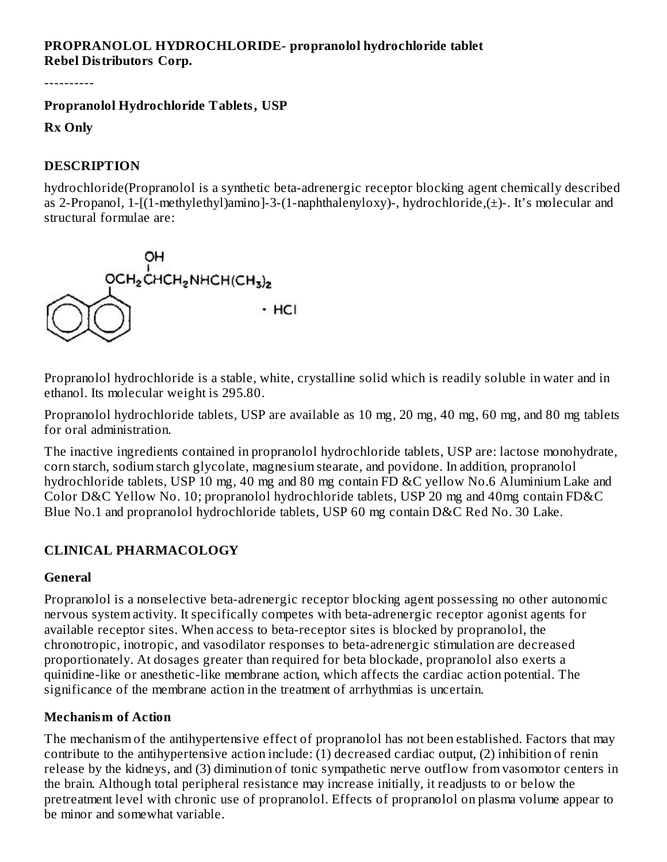# **PROPRANOLOL HYDROCHLORIDE- propranolol hydrochloride tablet Rebel Distributors Corp.**

----------

#### **Propranolol Hydrochloride Tablets, USP**

**Rx Only**

#### **DESCRIPTION**

hydrochloride(Propranolol is a synthetic beta-adrenergic receptor blocking agent chemically described as 2-Propanol, 1-[(1-methylethyl)amino]-3-(1-naphthalenyloxy)-, hydrochloride,(±)-. It's molecular and structural formulae are:



Propranolol hydrochloride is a stable, white, crystalline solid which is readily soluble in water and in ethanol. Its molecular weight is 295.80.

Propranolol hydrochloride tablets, USP are available as 10 mg, 20 mg, 40 mg, 60 mg, and 80 mg tablets for oral administration.

The inactive ingredients contained in propranolol hydrochloride tablets, USP are: lactose monohydrate, corn starch, sodium starch glycolate, magnesium stearate, and povidone. In addition, propranolol hydrochloride tablets, USP 10 mg, 40 mg and 80 mg contain FD &C yellow No.6 Aluminium Lake and Color D&C Yellow No. 10; propranolol hydrochloride tablets, USP 20 mg and 40mg contain FD&C Blue No.1 and propranolol hydrochloride tablets, USP 60 mg contain D&C Red No. 30 Lake.

## **CLINICAL PHARMACOLOGY**

#### **General**

Propranolol is a nonselective beta-adrenergic receptor blocking agent possessing no other autonomic nervous system activity. It specifically competes with beta-adrenergic receptor agonist agents for available receptor sites. When access to beta-receptor sites is blocked by propranolol, the chronotropic, inotropic, and vasodilator responses to beta-adrenergic stimulation are decreased proportionately. At dosages greater than required for beta blockade, propranolol also exerts a quinidine-like or anesthetic-like membrane action, which affects the cardiac action potential. The significance of the membrane action in the treatment of arrhythmias is uncertain.

#### **Mechanism of Action**

The mechanism of the antihypertensive effect of propranolol has not been established. Factors that may contribute to the antihypertensive action include: (1) decreased cardiac output, (2) inhibition of renin release by the kidneys, and (3) diminution of tonic sympathetic nerve outflow from vasomotor centers in the brain. Although total peripheral resistance may increase initially, it readjusts to or below the pretreatment level with chronic use of propranolol. Effects of propranolol on plasma volume appear to be minor and somewhat variable.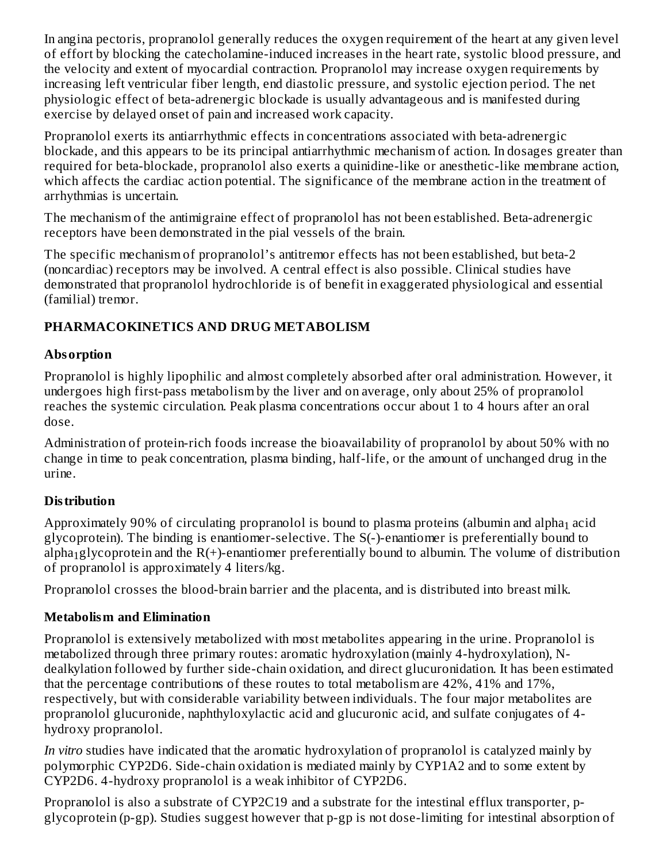In angina pectoris, propranolol generally reduces the oxygen requirement of the heart at any given level of effort by blocking the catecholamine-induced increases in the heart rate, systolic blood pressure, and the velocity and extent of myocardial contraction. Propranolol may increase oxygen requirements by increasing left ventricular fiber length, end diastolic pressure, and systolic ejection period. The net physiologic effect of beta-adrenergic blockade is usually advantageous and is manifested during exercise by delayed onset of pain and increased work capacity.

Propranolol exerts its antiarrhythmic effects in concentrations associated with beta-adrenergic blockade, and this appears to be its principal antiarrhythmic mechanism of action. In dosages greater than required for beta-blockade, propranolol also exerts a quinidine-like or anesthetic-like membrane action, which affects the cardiac action potential. The significance of the membrane action in the treatment of arrhythmias is uncertain.

The mechanism of the antimigraine effect of propranolol has not been established. Beta-adrenergic receptors have been demonstrated in the pial vessels of the brain.

The specific mechanism of propranolol's antitremor effects has not been established, but beta-2 (noncardiac) receptors may be involved. A central effect is also possible. Clinical studies have demonstrated that propranolol hydrochloride is of benefit in exaggerated physiological and essential (familial) tremor.

# **PHARMACOKINETICS AND DRUG METABOLISM**

# **Absorption**

Propranolol is highly lipophilic and almost completely absorbed after oral administration. However, it undergoes high first-pass metabolism by the liver and on average, only about 25% of propranolol reaches the systemic circulation. Peak plasma concentrations occur about 1 to 4 hours after an oral dose.

Administration of protein-rich foods increase the bioavailability of propranolol by about 50% with no change in time to peak concentration, plasma binding, half-life, or the amount of unchanged drug in the urine.

# **Distribution**

Approximately 90% of circulating propranolol is bound to plasma proteins (albumin and alpha $_1$  acid glycoprotein). The binding is enantiomer-selective. The S(-)-enantiomer is preferentially bound to  $alpha_1$ glycoprotein and the R(+)-enantiomer preferentially bound to albumin. The volume of distribution of propranolol is approximately 4 liters/kg.

Propranolol crosses the blood-brain barrier and the placenta, and is distributed into breast milk.

# **Metabolism and Elimination**

Propranolol is extensively metabolized with most metabolites appearing in the urine. Propranolol is metabolized through three primary routes: aromatic hydroxylation (mainly 4-hydroxylation), Ndealkylation followed by further side-chain oxidation, and direct glucuronidation. It has been estimated that the percentage contributions of these routes to total metabolism are 42%, 41% and 17%, respectively, but with considerable variability between individuals. The four major metabolites are propranolol glucuronide, naphthyloxylactic acid and glucuronic acid, and sulfate conjugates of 4 hydroxy propranolol.

*In vitro* studies have indicated that the aromatic hydroxylation of propranolol is catalyzed mainly by polymorphic CYP2D6. Side-chain oxidation is mediated mainly by CYP1A2 and to some extent by CYP2D6. 4-hydroxy propranolol is a weak inhibitor of CYP2D6.

Propranolol is also a substrate of CYP2C19 and a substrate for the intestinal efflux transporter, pglycoprotein (p-gp). Studies suggest however that p-gp is not dose-limiting for intestinal absorption of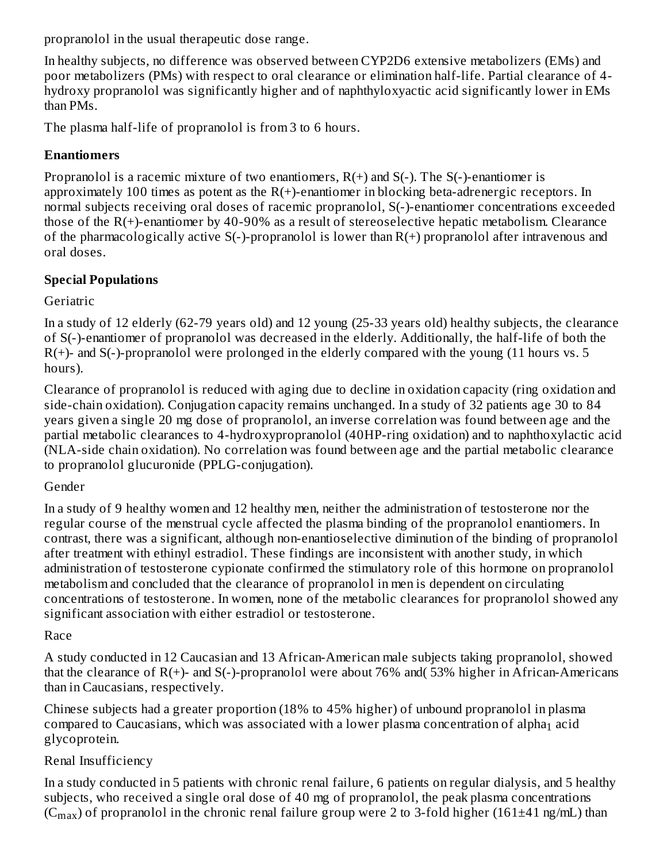propranolol in the usual therapeutic dose range.

In healthy subjects, no difference was observed between CYP2D6 extensive metabolizers (EMs) and poor metabolizers (PMs) with respect to oral clearance or elimination half-life. Partial clearance of 4 hydroxy propranolol was significantly higher and of naphthyloxyactic acid significantly lower in EMs than PMs.

The plasma half-life of propranolol is from 3 to 6 hours.

# **Enantiomers**

Propranolol is a racemic mixture of two enantiomers,  $R(+)$  and  $S(-)$ . The  $S(-)$ -enantiomer is approximately 100 times as potent as the  $R(+)$ -enantiomer in blocking beta-adrenergic receptors. In normal subjects receiving oral doses of racemic propranolol, S(-)-enantiomer concentrations exceeded those of the R(+)-enantiomer by 40-90% as a result of stereoselective hepatic metabolism. Clearance of the pharmacologically active  $S(-)$ -propranolol is lower than  $R(+)$  propranolol after intravenous and oral doses.

# **Special Populations**

**Geriatric** 

In a study of 12 elderly (62-79 years old) and 12 young (25-33 years old) healthy subjects, the clearance of S(-)-enantiomer of propranolol was decreased in the elderly. Additionally, the half-life of both the  $R(+)$ - and  $S(-)$ -propranolol were prolonged in the elderly compared with the young (11 hours vs. 5 hours).

Clearance of propranolol is reduced with aging due to decline in oxidation capacity (ring oxidation and side-chain oxidation). Conjugation capacity remains unchanged. In a study of 32 patients age 30 to 84 years given a single 20 mg dose of propranolol, an inverse correlation was found between age and the partial metabolic clearances to 4-hydroxypropranolol (40HP-ring oxidation) and to naphthoxylactic acid (NLA-side chain oxidation). No correlation was found between age and the partial metabolic clearance to propranolol glucuronide (PPLG-conjugation).

# Gender

In a study of 9 healthy women and 12 healthy men, neither the administration of testosterone nor the regular course of the menstrual cycle affected the plasma binding of the propranolol enantiomers. In contrast, there was a significant, although non-enantioselective diminution of the binding of propranolol after treatment with ethinyl estradiol. These findings are inconsistent with another study, in which administration of testosterone cypionate confirmed the stimulatory role of this hormone on propranolol metabolism and concluded that the clearance of propranolol in men is dependent on circulating concentrations of testosterone. In women, none of the metabolic clearances for propranolol showed any significant association with either estradiol or testosterone.

# Race

A study conducted in 12 Caucasian and 13 African-American male subjects taking propranolol, showed that the clearance of R(+)- and S(-)-propranolol were about 76% and( 53% higher in African-Americans than in Caucasians, respectively.

Chinese subjects had a greater proportion (18% to 45% higher) of unbound propranolol in plasma compared to Caucasians, which was associated with a lower plasma concentration of alpha $_{\rm 1}$  acid glycoprotein.

# Renal Insufficiency

In a study conducted in 5 patients with chronic renal failure, 6 patients on regular dialysis, and 5 healthy subjects, who received a single oral dose of 40 mg of propranolol, the peak plasma concentrations (C $_{\rm max}$ ) of propranolol in the chronic renal failure group were 2 to 3-fold higher (161±41 ng/mL) than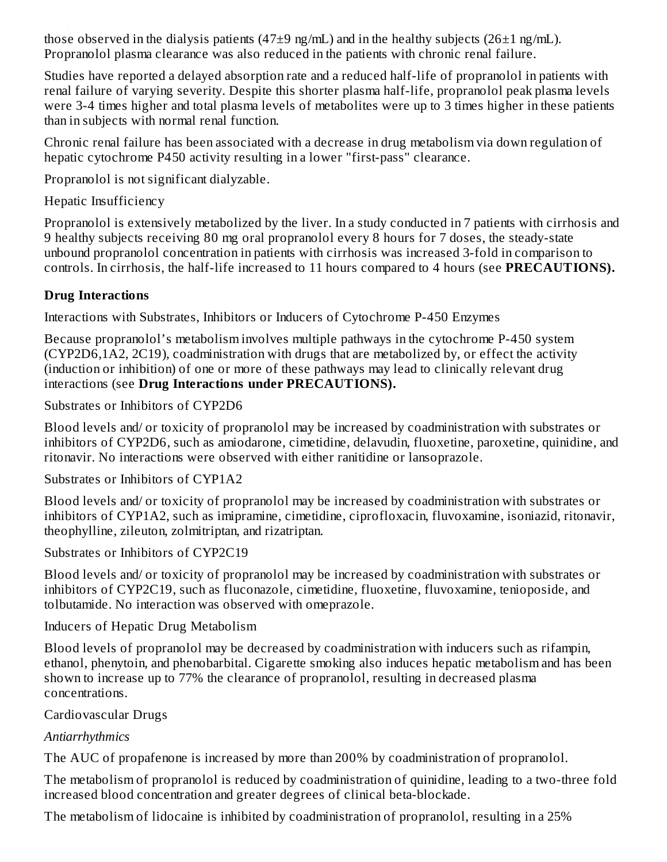those observed in the dialysis patients  $(47\pm9$  ng/mL) and in the healthy subjects  $(26\pm1$  ng/mL). Propranolol plasma clearance was also reduced in the patients with chronic renal failure. ...<sub>...</sub>

Studies have reported a delayed absorption rate and a reduced half-life of propranolol in patients with renal failure of varying severity. Despite this shorter plasma half-life, propranolol peak plasma levels were 3-4 times higher and total plasma levels of metabolites were up to 3 times higher in these patients than in subjects with normal renal function.

Chronic renal failure has been associated with a decrease in drug metabolism via down regulation of hepatic cytochrome P450 activity resulting in a lower "first-pass" clearance.

Propranolol is not significant dialyzable.

Hepatic Insufficiency

Propranolol is extensively metabolized by the liver. In a study conducted in 7 patients with cirrhosis and 9 healthy subjects receiving 80 mg oral propranolol every 8 hours for 7 doses, the steady-state unbound propranolol concentration in patients with cirrhosis was increased 3-fold in comparison to controls. In cirrhosis, the half-life increased to 11 hours compared to 4 hours (see **PRECAUTIONS).**

# **Drug Interactions**

Interactions with Substrates, Inhibitors or Inducers of Cytochrome P-450 Enzymes

Because propranolol's metabolism involves multiple pathways in the cytochrome P-450 system (CYP2D6,1A2, 2C19), coadministration with drugs that are metabolized by, or effect the activity (induction or inhibition) of one or more of these pathways may lead to clinically relevant drug interactions (see **Drug Interactions under PRECAUTIONS).**

Substrates or Inhibitors of CYP2D6

Blood levels and/ or toxicity of propranolol may be increased by coadministration with substrates or inhibitors of CYP2D6, such as amiodarone, cimetidine, delavudin, fluoxetine, paroxetine, quinidine, and ritonavir. No interactions were observed with either ranitidine or lansoprazole.

Substrates or Inhibitors of CYP1A2

Blood levels and/ or toxicity of propranolol may be increased by coadministration with substrates or inhibitors of CYP1A2, such as imipramine, cimetidine, ciprofloxacin, fluvoxamine, isoniazid, ritonavir, theophylline, zileuton, zolmitriptan, and rizatriptan.

Substrates or Inhibitors of CYP2C19

Blood levels and/ or toxicity of propranolol may be increased by coadministration with substrates or inhibitors of CYP2C19, such as fluconazole, cimetidine, fluoxetine, fluvoxamine, tenioposide, and tolbutamide. No interaction was observed with omeprazole.

Inducers of Hepatic Drug Metabolism

Blood levels of propranolol may be decreased by coadministration with inducers such as rifampin, ethanol, phenytoin, and phenobarbital. Cigarette smoking also induces hepatic metabolism and has been shown to increase up to 77% the clearance of propranolol, resulting in decreased plasma concentrations.

Cardiovascular Drugs

# *Antiarrhythmics*

The AUC of propafenone is increased by more than 200% by coadministration of propranolol.

The metabolism of propranolol is reduced by coadministration of quinidine, leading to a two-three fold increased blood concentration and greater degrees of clinical beta-blockade.

The metabolism of lidocaine is inhibited by coadministration of propranolol, resulting in a 25%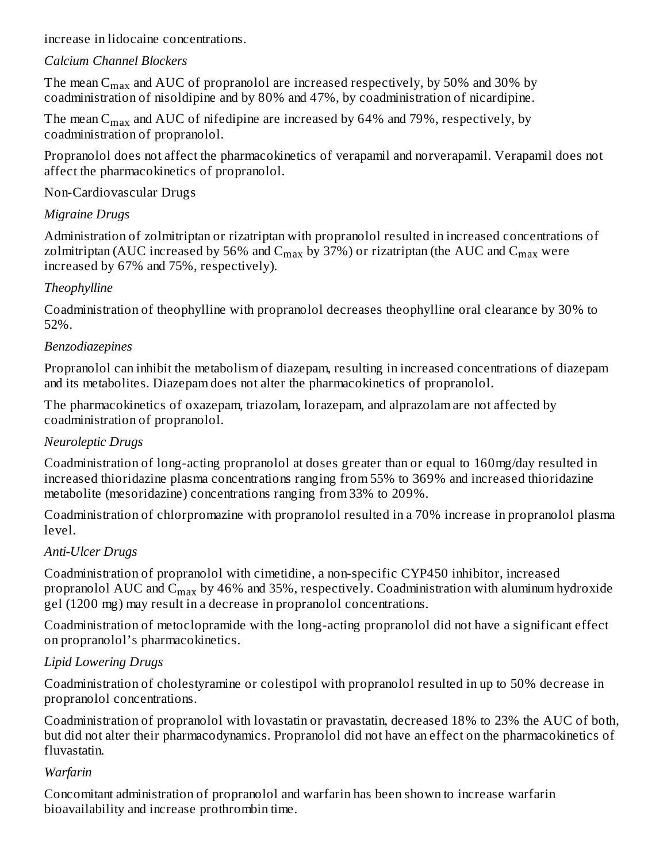increase in lidocaine concentrations.

# *Calcium Channel Blockers*

The mean  $\rm{C_{max}}$  and  $\rm{AUC}$  of propranolol are increased respectively, by 50% and 30% by coadministration of nisoldipine and by 80% and 47%, by coadministration of nicardipine.

The mean  $\rm{C_{max}}$  and  $\rm{AUC}$  of nifedipine are increased by 64% and 79%, respectively, by coadministration of propranolol.

Propranolol does not affect the pharmacokinetics of verapamil and norverapamil. Verapamil does not affect the pharmacokinetics of propranolol.

# Non-Cardiovascular Drugs

# *Migraine Drugs*

Administration of zolmitriptan or rizatriptan with propranolol resulted in increased concentrations of zolmitriptan (AUC increased by 56% and  $\rm{C_{max}}$  by 37%) or rizatriptan (the AUC and  $\rm{C_{max}}$  were increased by 67% and 75%, respectively).

# *Theophylline*

Coadministration of theophylline with propranolol decreases theophylline oral clearance by 30% to 52%.

# *Benzodiazepines*

Propranolol can inhibit the metabolism of diazepam, resulting in increased concentrations of diazepam and its metabolites. Diazepam does not alter the pharmacokinetics of propranolol.

The pharmacokinetics of oxazepam, triazolam, lorazepam, and alprazolam are not affected by coadministration of propranolol.

# *Neuroleptic Drugs*

Coadministration of long-acting propranolol at doses greater than or equal to 160mg/day resulted in increased thioridazine plasma concentrations ranging from 55% to 369% and increased thioridazine metabolite (mesoridazine) concentrations ranging from 33% to 209%.

Coadministration of chlorpromazine with propranolol resulted in a 70% increase in propranolol plasma level.

# *Anti-Ulcer Drugs*

Coadministration of propranolol with cimetidine, a non-specific CYP450 inhibitor, increased propranolol AUC and  $\rm C_{max}$  by 46% and 35%, respectively. Coadministration with aluminum hydroxide gel (1200 mg) may result in a decrease in propranolol concentrations.

Coadministration of metoclopramide with the long-acting propranolol did not have a significant effect on propranolol's pharmacokinetics.

# *Lipid Lowering Drugs*

Coadministration of cholestyramine or colestipol with propranolol resulted in up to 50% decrease in propranolol concentrations.

Coadministration of propranolol with lovastatin or pravastatin, decreased 18% to 23% the AUC of both, but did not alter their pharmacodynamics. Propranolol did not have an effect on the pharmacokinetics of fluvastatin.

# *Warfarin*

Concomitant administration of propranolol and warfarin has been shown to increase warfarin bioavailability and increase prothrombin time.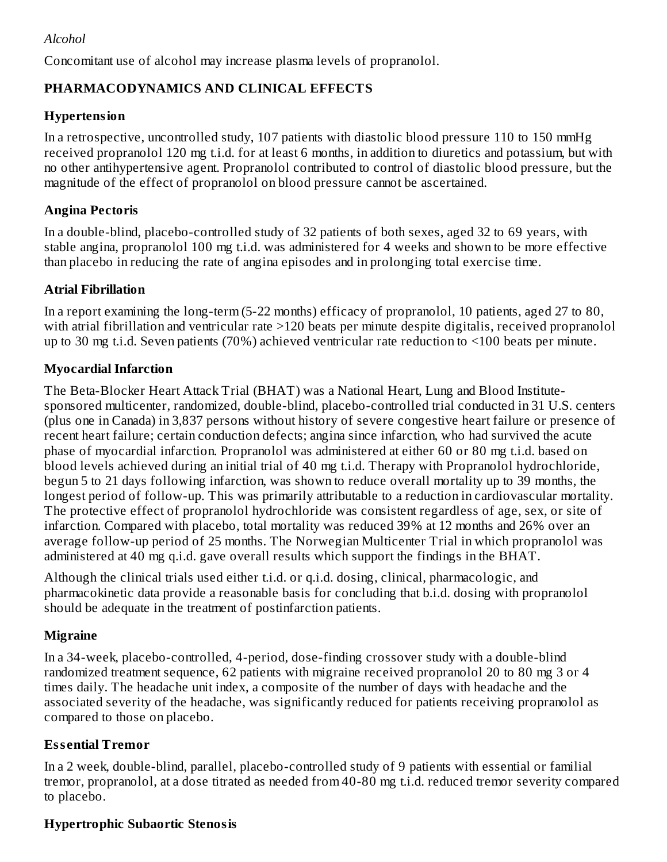# *Alcohol*

Concomitant use of alcohol may increase plasma levels of propranolol.

# **PHARMACODYNAMICS AND CLINICAL EFFECTS**

## **Hypertension**

In a retrospective, uncontrolled study, 107 patients with diastolic blood pressure 110 to 150 mmHg received propranolol 120 mg t.i.d. for at least 6 months, in addition to diuretics and potassium, but with no other antihypertensive agent. Propranolol contributed to control of diastolic blood pressure, but the magnitude of the effect of propranolol on blood pressure cannot be ascertained.

## **Angina Pectoris**

In a double-blind, placebo-controlled study of 32 patients of both sexes, aged 32 to 69 years, with stable angina, propranolol 100 mg t.i.d. was administered for 4 weeks and shown to be more effective than placebo in reducing the rate of angina episodes and in prolonging total exercise time.

# **Atrial Fibrillation**

In a report examining the long-term (5-22 months) efficacy of propranolol, 10 patients, aged 27 to 80, with atrial fibrillation and ventricular rate >120 beats per minute despite digitalis, received propranolol up to 30 mg t.i.d. Seven patients (70%) achieved ventricular rate reduction to <100 beats per minute.

# **Myocardial Infarction**

The Beta-Blocker Heart Attack Trial (BHAT) was a National Heart, Lung and Blood Institutesponsored multicenter, randomized, double-blind, placebo-controlled trial conducted in 31 U.S. centers (plus one in Canada) in 3,837 persons without history of severe congestive heart failure or presence of recent heart failure; certain conduction defects; angina since infarction, who had survived the acute phase of myocardial infarction. Propranolol was administered at either 60 or 80 mg t.i.d. based on blood levels achieved during an initial trial of 40 mg t.i.d. Therapy with Propranolol hydrochloride, begun 5 to 21 days following infarction, was shown to reduce overall mortality up to 39 months, the longest period of follow-up. This was primarily attributable to a reduction in cardiovascular mortality. The protective effect of propranolol hydrochloride was consistent regardless of age, sex, or site of infarction. Compared with placebo, total mortality was reduced 39% at 12 months and 26% over an average follow-up period of 25 months. The Norwegian Multicenter Trial in which propranolol was administered at 40 mg q.i.d. gave overall results which support the findings in the BHAT.

Although the clinical trials used either t.i.d. or q.i.d. dosing, clinical, pharmacologic, and pharmacokinetic data provide a reasonable basis for concluding that b.i.d. dosing with propranolol should be adequate in the treatment of postinfarction patients.

# **Migraine**

In a 34-week, placebo-controlled, 4-period, dose-finding crossover study with a double-blind randomized treatment sequence, 62 patients with migraine received propranolol 20 to 80 mg 3 or 4 times daily. The headache unit index, a composite of the number of days with headache and the associated severity of the headache, was significantly reduced for patients receiving propranolol as compared to those on placebo.

# **Ess ential Tremor**

In a 2 week, double-blind, parallel, placebo-controlled study of 9 patients with essential or familial tremor, propranolol, at a dose titrated as needed from 40-80 mg t.i.d. reduced tremor severity compared to placebo.

## **Hypertrophic Subaortic Stenosis**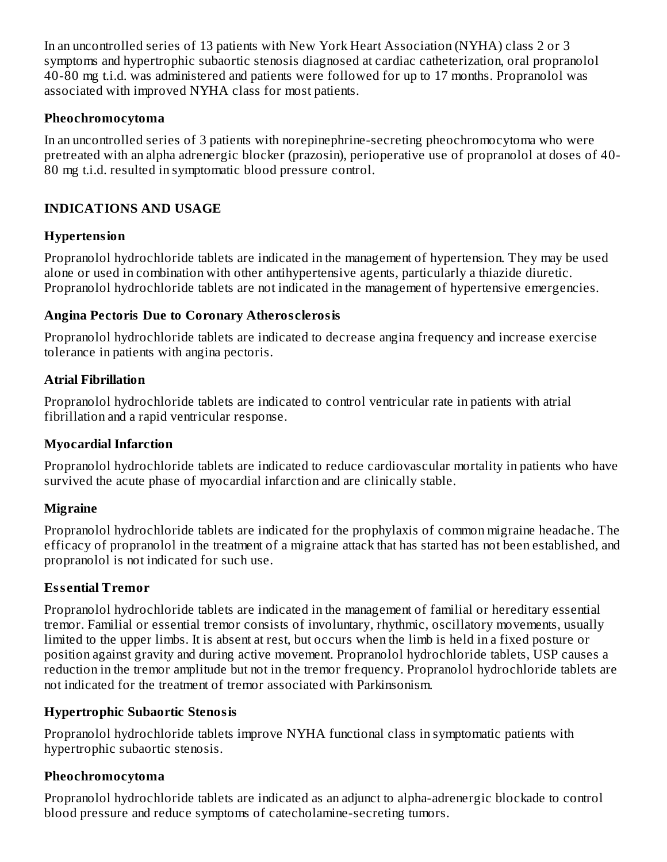In an uncontrolled series of 13 patients with New York Heart Association (NYHA) class 2 or 3 symptoms and hypertrophic subaortic stenosis diagnosed at cardiac catheterization, oral propranolol 40-80 mg t.i.d. was administered and patients were followed for up to 17 months. Propranolol was associated with improved NYHA class for most patients.

#### **Pheochromocytoma**

In an uncontrolled series of 3 patients with norepinephrine-secreting pheochromocytoma who were pretreated with an alpha adrenergic blocker (prazosin), perioperative use of propranolol at doses of 40- 80 mg t.i.d. resulted in symptomatic blood pressure control.

## **INDICATIONS AND USAGE**

## **Hypertension**

Propranolol hydrochloride tablets are indicated in the management of hypertension. They may be used alone or used in combination with other antihypertensive agents, particularly a thiazide diuretic. Propranolol hydrochloride tablets are not indicated in the management of hypertensive emergencies.

## **Angina Pectoris Due to Coronary Atheros clerosis**

Propranolol hydrochloride tablets are indicated to decrease angina frequency and increase exercise tolerance in patients with angina pectoris.

# **Atrial Fibrillation**

Propranolol hydrochloride tablets are indicated to control ventricular rate in patients with atrial fibrillation and a rapid ventricular response.

## **Myocardial Infarction**

Propranolol hydrochloride tablets are indicated to reduce cardiovascular mortality in patients who have survived the acute phase of myocardial infarction and are clinically stable.

## **Migraine**

Propranolol hydrochloride tablets are indicated for the prophylaxis of common migraine headache. The efficacy of propranolol in the treatment of a migraine attack that has started has not been established, and propranolol is not indicated for such use.

## **Ess ential Tremor**

Propranolol hydrochloride tablets are indicated in the management of familial or hereditary essential tremor. Familial or essential tremor consists of involuntary, rhythmic, oscillatory movements, usually limited to the upper limbs. It is absent at rest, but occurs when the limb is held in a fixed posture or position against gravity and during active movement. Propranolol hydrochloride tablets, USP causes a reduction in the tremor amplitude but not in the tremor frequency. Propranolol hydrochloride tablets are not indicated for the treatment of tremor associated with Parkinsonism.

# **Hypertrophic Subaortic Stenosis**

Propranolol hydrochloride tablets improve NYHA functional class in symptomatic patients with hypertrophic subaortic stenosis.

# **Pheochromocytoma**

Propranolol hydrochloride tablets are indicated as an adjunct to alpha-adrenergic blockade to control blood pressure and reduce symptoms of catecholamine-secreting tumors.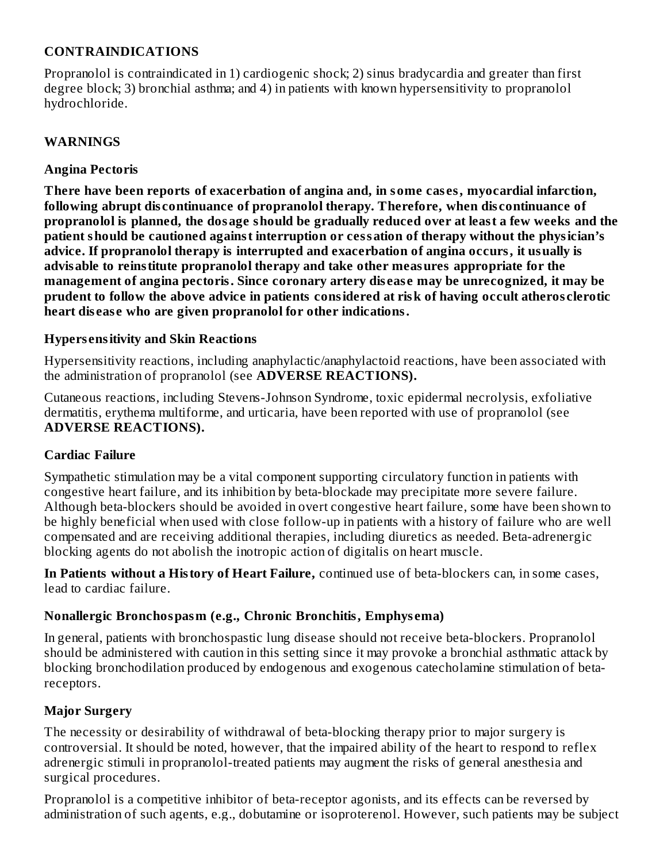# **CONTRAINDICATIONS**

Propranolol is contraindicated in 1) cardiogenic shock; 2) sinus bradycardia and greater than first degree block; 3) bronchial asthma; and 4) in patients with known hypersensitivity to propranolol hydrochloride.

## **WARNINGS**

## **Angina Pectoris**

**There have been reports of exacerbation of angina and, in some cas es, myocardial infarction, following abrupt dis continuance of propranolol therapy. Therefore, when dis continuance of propranolol is planned, the dosage should be gradually reduced over at least a few weeks and the patient should be cautioned against interruption or cessation of therapy without the physician's advice. If propranolol therapy is interrupted and exacerbation of angina occurs, it usually is advisable to reinstitute propranolol therapy and take other measures appropriate for the management of angina pectoris. Since coronary artery dis eas e may be unrecognized, it may be prudent to follow the above advice in patients considered at risk of having occult atheros clerotic heart dis eas e who are given propranolol for other indications.**

#### **Hypers ensitivity and Skin Reactions**

Hypersensitivity reactions, including anaphylactic/anaphylactoid reactions, have been associated with the administration of propranolol (see **ADVERSE REACTIONS).**

Cutaneous reactions, including Stevens-Johnson Syndrome, toxic epidermal necrolysis, exfoliative dermatitis, erythema multiforme, and urticaria, have been reported with use of propranolol (see **ADVERSE REACTIONS).**

## **Cardiac Failure**

Sympathetic stimulation may be a vital component supporting circulatory function in patients with congestive heart failure, and its inhibition by beta-blockade may precipitate more severe failure. Although beta-blockers should be avoided in overt congestive heart failure, some have been shown to be highly beneficial when used with close follow-up in patients with a history of failure who are well compensated and are receiving additional therapies, including diuretics as needed. Beta-adrenergic blocking agents do not abolish the inotropic action of digitalis on heart muscle.

**In Patients without a History of Heart Failure,** continued use of beta-blockers can, in some cases, lead to cardiac failure.

## **Nonallergic Bronchospasm (e.g., Chronic Bronchitis, Emphys ema)**

In general, patients with bronchospastic lung disease should not receive beta-blockers. Propranolol should be administered with caution in this setting since it may provoke a bronchial asthmatic attack by blocking bronchodilation produced by endogenous and exogenous catecholamine stimulation of betareceptors.

## **Major Surgery**

The necessity or desirability of withdrawal of beta-blocking therapy prior to major surgery is controversial. It should be noted, however, that the impaired ability of the heart to respond to reflex adrenergic stimuli in propranolol-treated patients may augment the risks of general anesthesia and surgical procedures.

Propranolol is a competitive inhibitor of beta-receptor agonists, and its effects can be reversed by administration of such agents, e.g., dobutamine or isoproterenol. However, such patients may be subject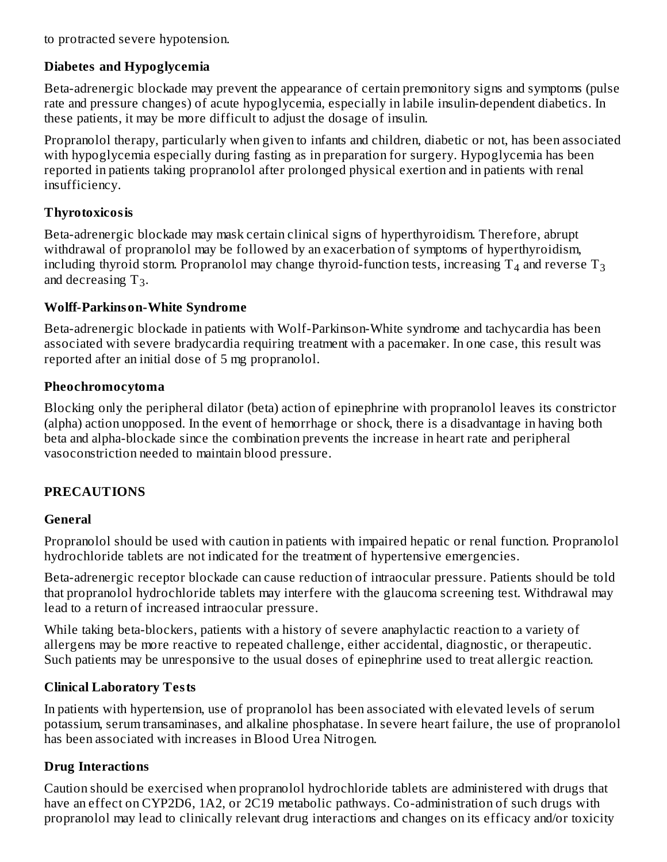# **Diabetes and Hypoglycemia**

Beta-adrenergic blockade may prevent the appearance of certain premonitory signs and symptoms (pulse rate and pressure changes) of acute hypoglycemia, especially in labile insulin-dependent diabetics. In these patients, it may be more difficult to adjust the dosage of insulin.

Propranolol therapy, particularly when given to infants and children, diabetic or not, has been associated with hypoglycemia especially during fasting as in preparation for surgery. Hypoglycemia has been reported in patients taking propranolol after prolonged physical exertion and in patients with renal insufficiency.

# **Thyrotoxicosis**

Beta-adrenergic blockade may mask certain clinical signs of hyperthyroidism. Therefore, abrupt withdrawal of propranolol may be followed by an exacerbation of symptoms of hyperthyroidism, including thyroid storm. Propranolol may change thyroid-function tests, increasing  $\rm{T}_4$  and reverse  $\rm{T}_3$ and decreasing  $T_3$ .

# **Wolff-Parkinson-White Syndrome**

Beta-adrenergic blockade in patients with Wolf-Parkinson-White syndrome and tachycardia has been associated with severe bradycardia requiring treatment with a pacemaker. In one case, this result was reported after an initial dose of 5 mg propranolol.

# **Pheochromocytoma**

Blocking only the peripheral dilator (beta) action of epinephrine with propranolol leaves its constrictor (alpha) action unopposed. In the event of hemorrhage or shock, there is a disadvantage in having both beta and alpha-blockade since the combination prevents the increase in heart rate and peripheral vasoconstriction needed to maintain blood pressure.

# **PRECAUTIONS**

## **General**

Propranolol should be used with caution in patients with impaired hepatic or renal function. Propranolol hydrochloride tablets are not indicated for the treatment of hypertensive emergencies.

Beta-adrenergic receptor blockade can cause reduction of intraocular pressure. Patients should be told that propranolol hydrochloride tablets may interfere with the glaucoma screening test. Withdrawal may lead to a return of increased intraocular pressure.

While taking beta-blockers, patients with a history of severe anaphylactic reaction to a variety of allergens may be more reactive to repeated challenge, either accidental, diagnostic, or therapeutic. Such patients may be unresponsive to the usual doses of epinephrine used to treat allergic reaction.

## **Clinical Laboratory Tests**

In patients with hypertension, use of propranolol has been associated with elevated levels of serum potassium, serum transaminases, and alkaline phosphatase. In severe heart failure, the use of propranolol has been associated with increases in Blood Urea Nitrogen.

# **Drug Interactions**

Caution should be exercised when propranolol hydrochloride tablets are administered with drugs that have an effect on CYP2D6, 1A2, or 2C19 metabolic pathways. Co-administration of such drugs with propranolol may lead to clinically relevant drug interactions and changes on its efficacy and/or toxicity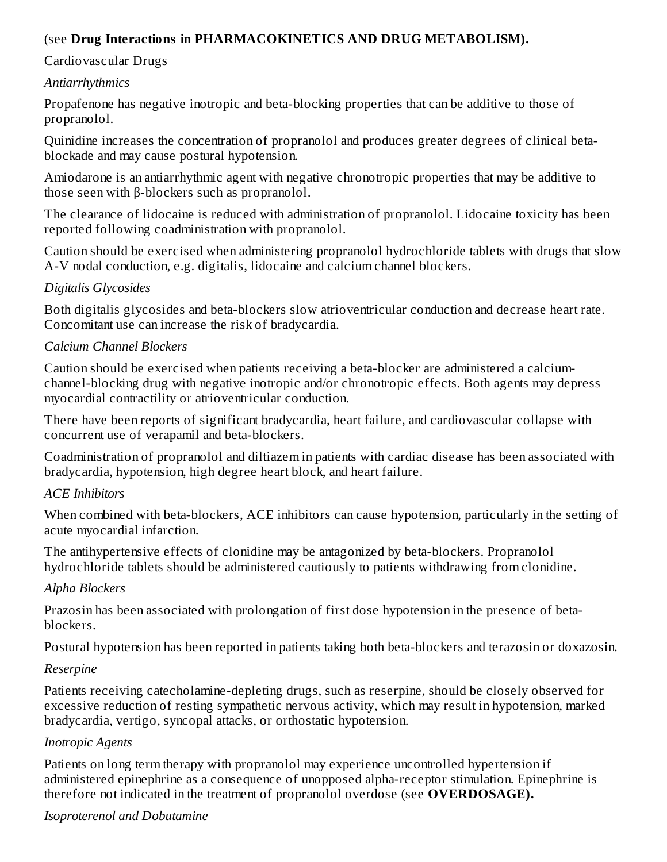# (see **Drug Interactions in PHARMACOKINETICS AND DRUG METABOLISM).**

## Cardiovascular Drugs

#### *Antiarrhythmics*

Propafenone has negative inotropic and beta-blocking properties that can be additive to those of propranolol.

Quinidine increases the concentration of propranolol and produces greater degrees of clinical betablockade and may cause postural hypotension.

Amiodarone is an antiarrhythmic agent with negative chronotropic properties that may be additive to those seen with β-blockers such as propranolol.

The clearance of lidocaine is reduced with administration of propranolol. Lidocaine toxicity has been reported following coadministration with propranolol.

Caution should be exercised when administering propranolol hydrochloride tablets with drugs that slow A-V nodal conduction, e.g. digitalis, lidocaine and calcium channel blockers.

#### *Digitalis Glycosides*

Both digitalis glycosides and beta-blockers slow atrioventricular conduction and decrease heart rate. Concomitant use can increase the risk of bradycardia.

## *Calcium Channel Blockers*

Caution should be exercised when patients receiving a beta-blocker are administered a calciumchannel-blocking drug with negative inotropic and/or chronotropic effects. Both agents may depress myocardial contractility or atrioventricular conduction.

There have been reports of significant bradycardia, heart failure, and cardiovascular collapse with concurrent use of verapamil and beta-blockers.

Coadministration of propranolol and diltiazem in patients with cardiac disease has been associated with bradycardia, hypotension, high degree heart block, and heart failure.

## *ACE Inhibitors*

When combined with beta-blockers, ACE inhibitors can cause hypotension, particularly in the setting of acute myocardial infarction.

The antihypertensive effects of clonidine may be antagonized by beta-blockers. Propranolol hydrochloride tablets should be administered cautiously to patients withdrawing from clonidine.

#### *Alpha Blockers*

Prazosin has been associated with prolongation of first dose hypotension in the presence of betablockers.

Postural hypotension has been reported in patients taking both beta-blockers and terazosin or doxazosin.

## *Reserpine*

Patients receiving catecholamine-depleting drugs, such as reserpine, should be closely observed for excessive reduction of resting sympathetic nervous activity, which may result in hypotension, marked bradycardia, vertigo, syncopal attacks, or orthostatic hypotension.

## *Inotropic Agents*

Patients on long term therapy with propranolol may experience uncontrolled hypertension if administered epinephrine as a consequence of unopposed alpha-receptor stimulation. Epinephrine is therefore not indicated in the treatment of propranolol overdose (see **OVERDOSAGE).**

#### *Isoproterenol and Dobutamine*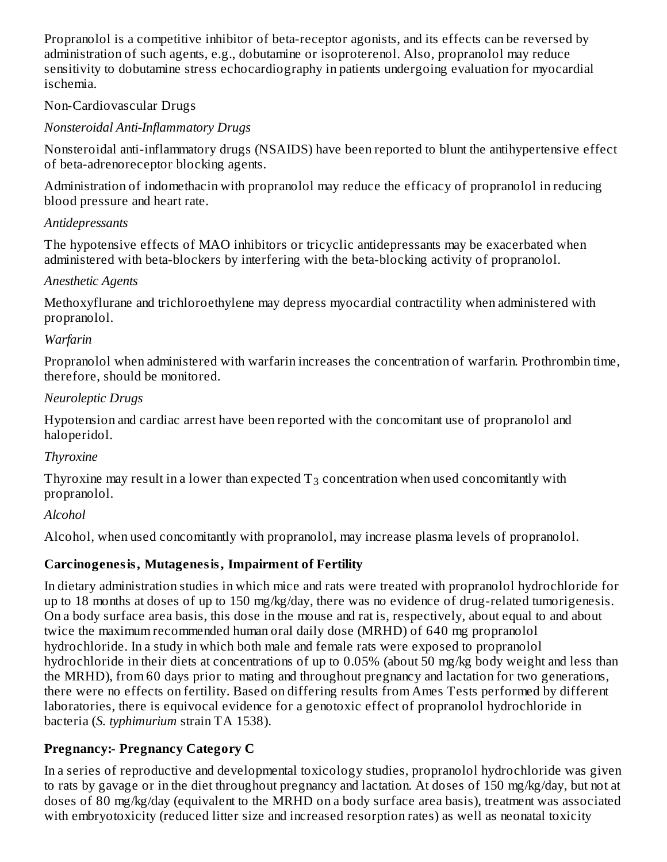Propranolol is a competitive inhibitor of beta-receptor agonists, and its effects can be reversed by administration of such agents, e.g., dobutamine or isoproterenol. Also, propranolol may reduce sensitivity to dobutamine stress echocardiography in patients undergoing evaluation for myocardial ischemia.

Non-Cardiovascular Drugs

*Nonsteroidal Anti-Inflammatory Drugs*

Nonsteroidal anti-inflammatory drugs (NSAIDS) have been reported to blunt the antihypertensive effect of beta-adrenoreceptor blocking agents.

Administration of indomethacin with propranolol may reduce the efficacy of propranolol in reducing blood pressure and heart rate.

# *Antidepressants*

The hypotensive effects of MAO inhibitors or tricyclic antidepressants may be exacerbated when administered with beta-blockers by interfering with the beta-blocking activity of propranolol.

# *Anesthetic Agents*

Methoxyflurane and trichloroethylene may depress myocardial contractility when administered with propranolol.

# *Warfarin*

Propranolol when administered with warfarin increases the concentration of warfarin. Prothrombin time, therefore, should be monitored.

# *Neuroleptic Drugs*

Hypotension and cardiac arrest have been reported with the concomitant use of propranolol and haloperidol.

# *Thyroxine*

Thyroxine may result in a lower than expected  $\text{T}_3$  concentration when used concomitantly with propranolol.

# *Alcohol*

Alcohol, when used concomitantly with propranolol, may increase plasma levels of propranolol.

# **Carcinogenesis, Mutagenesis, Impairment of Fertility**

In dietary administration studies in which mice and rats were treated with propranolol hydrochloride for up to 18 months at doses of up to 150 mg/kg/day, there was no evidence of drug-related tumorigenesis. On a body surface area basis, this dose in the mouse and rat is, respectively, about equal to and about twice the maximum recommended human oral daily dose (MRHD) of 640 mg propranolol hydrochloride. In a study in which both male and female rats were exposed to propranolol hydrochloride in their diets at concentrations of up to 0.05% (about 50 mg/kg body weight and less than the MRHD), from 60 days prior to mating and throughout pregnancy and lactation for two generations, there were no effects on fertility. Based on differing results from Ames Tests performed by different laboratories, there is equivocal evidence for a genotoxic effect of propranolol hydrochloride in bacteria (*S. typhimurium* strain TA 1538).

# **Pregnancy:- Pregnancy Category C**

In a series of reproductive and developmental toxicology studies, propranolol hydrochloride was given to rats by gavage or in the diet throughout pregnancy and lactation. At doses of 150 mg/kg/day, but not at doses of 80 mg/kg/day (equivalent to the MRHD on a body surface area basis), treatment was associated with embryotoxicity (reduced litter size and increased resorption rates) as well as neonatal toxicity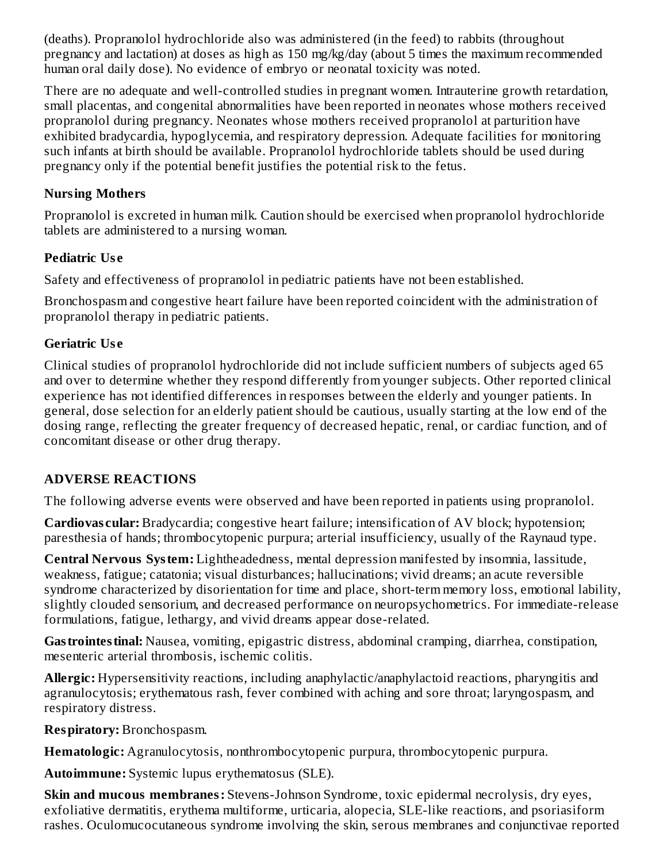(deaths). Propranolol hydrochloride also was administered (in the feed) to rabbits (throughout pregnancy and lactation) at doses as high as 150 mg/kg/day (about 5 times the maximum recommended human oral daily dose). No evidence of embryo or neonatal toxicity was noted.

There are no adequate and well-controlled studies in pregnant women. Intrauterine growth retardation, small placentas, and congenital abnormalities have been reported in neonates whose mothers received propranolol during pregnancy. Neonates whose mothers received propranolol at parturition have exhibited bradycardia, hypoglycemia, and respiratory depression. Adequate facilities for monitoring such infants at birth should be available. Propranolol hydrochloride tablets should be used during pregnancy only if the potential benefit justifies the potential risk to the fetus.

# **Nursing Mothers**

Propranolol is excreted in human milk. Caution should be exercised when propranolol hydrochloride tablets are administered to a nursing woman.

# **Pediatric Us e**

Safety and effectiveness of propranolol in pediatric patients have not been established.

Bronchospasm and congestive heart failure have been reported coincident with the administration of propranolol therapy in pediatric patients.

# **Geriatric Us e**

Clinical studies of propranolol hydrochloride did not include sufficient numbers of subjects aged 65 and over to determine whether they respond differently from younger subjects. Other reported clinical experience has not identified differences in responses between the elderly and younger patients. In general, dose selection for an elderly patient should be cautious, usually starting at the low end of the dosing range, reflecting the greater frequency of decreased hepatic, renal, or cardiac function, and of concomitant disease or other drug therapy.

# **ADVERSE REACTIONS**

The following adverse events were observed and have been reported in patients using propranolol.

**Cardiovas cular:** Bradycardia; congestive heart failure; intensification of AV block; hypotension; paresthesia of hands; thrombocytopenic purpura; arterial insufficiency, usually of the Raynaud type.

**Central Nervous System:** Lightheadedness, mental depression manifested by insomnia, lassitude, weakness, fatigue; catatonia; visual disturbances; hallucinations; vivid dreams; an acute reversible syndrome characterized by disorientation for time and place, short-term memory loss, emotional lability, slightly clouded sensorium, and decreased performance on neuropsychometrics. For immediate-release formulations, fatigue, lethargy, and vivid dreams appear dose-related.

**Gastrointestinal:** Nausea, vomiting, epigastric distress, abdominal cramping, diarrhea, constipation, mesenteric arterial thrombosis, ischemic colitis.

**Allergic:** Hypersensitivity reactions, including anaphylactic/anaphylactoid reactions, pharyngitis and agranulocytosis; erythematous rash, fever combined with aching and sore throat; laryngospasm, and respiratory distress.

**Respiratory:** Bronchospasm.

**Hematologic:** Agranulocytosis, nonthrombocytopenic purpura, thrombocytopenic purpura.

**Autoimmune:** Systemic lupus erythematosus (SLE).

**Skin and mucous membranes:** Stevens-Johnson Syndrome, toxic epidermal necrolysis, dry eyes, exfoliative dermatitis, erythema multiforme, urticaria, alopecia, SLE-like reactions, and psoriasiform rashes. Oculomucocutaneous syndrome involving the skin, serous membranes and conjunctivae reported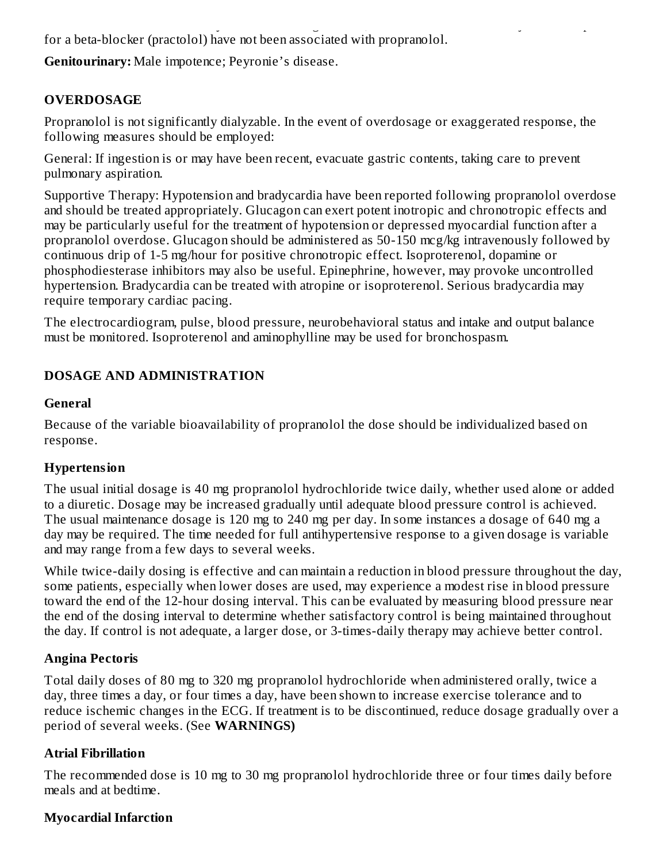rashes. Oculomucocutaneous syndrome involving the skin, serous membranes and conjunctivae reported for a beta-blocker (practolol) have not been associated with propranolol.

**Genitourinary:** Male impotence; Peyronie's disease.

# **OVERDOSAGE**

Propranolol is not significantly dialyzable. In the event of overdosage or exaggerated response, the following measures should be employed:

General: If ingestion is or may have been recent, evacuate gastric contents, taking care to prevent pulmonary aspiration.

Supportive Therapy: Hypotension and bradycardia have been reported following propranolol overdose and should be treated appropriately. Glucagon can exert potent inotropic and chronotropic effects and may be particularly useful for the treatment of hypotension or depressed myocardial function after a propranolol overdose. Glucagon should be administered as 50-150 mcg/kg intravenously followed by continuous drip of 1-5 mg/hour for positive chronotropic effect. Isoproterenol, dopamine or phosphodiesterase inhibitors may also be useful. Epinephrine, however, may provoke uncontrolled hypertension. Bradycardia can be treated with atropine or isoproterenol. Serious bradycardia may require temporary cardiac pacing.

The electrocardiogram, pulse, blood pressure, neurobehavioral status and intake and output balance must be monitored. Isoproterenol and aminophylline may be used for bronchospasm.

# **DOSAGE AND ADMINISTRATION**

## **General**

Because of the variable bioavailability of propranolol the dose should be individualized based on response.

## **Hypertension**

The usual initial dosage is 40 mg propranolol hydrochloride twice daily, whether used alone or added to a diuretic. Dosage may be increased gradually until adequate blood pressure control is achieved. The usual maintenance dosage is 120 mg to 240 mg per day. In some instances a dosage of 640 mg a day may be required. The time needed for full antihypertensive response to a given dosage is variable and may range from a few days to several weeks.

While twice-daily dosing is effective and can maintain a reduction in blood pressure throughout the day, some patients, especially when lower doses are used, may experience a modest rise in blood pressure toward the end of the 12-hour dosing interval. This can be evaluated by measuring blood pressure near the end of the dosing interval to determine whether satisfactory control is being maintained throughout the day. If control is not adequate, a larger dose, or 3-times-daily therapy may achieve better control.

## **Angina Pectoris**

Total daily doses of 80 mg to 320 mg propranolol hydrochloride when administered orally, twice a day, three times a day, or four times a day, have been shown to increase exercise tolerance and to reduce ischemic changes in the ECG. If treatment is to be discontinued, reduce dosage gradually over a period of several weeks. (See **WARNINGS)**

# **Atrial Fibrillation**

The recommended dose is 10 mg to 30 mg propranolol hydrochloride three or four times daily before meals and at bedtime.

## **Myocardial Infarction**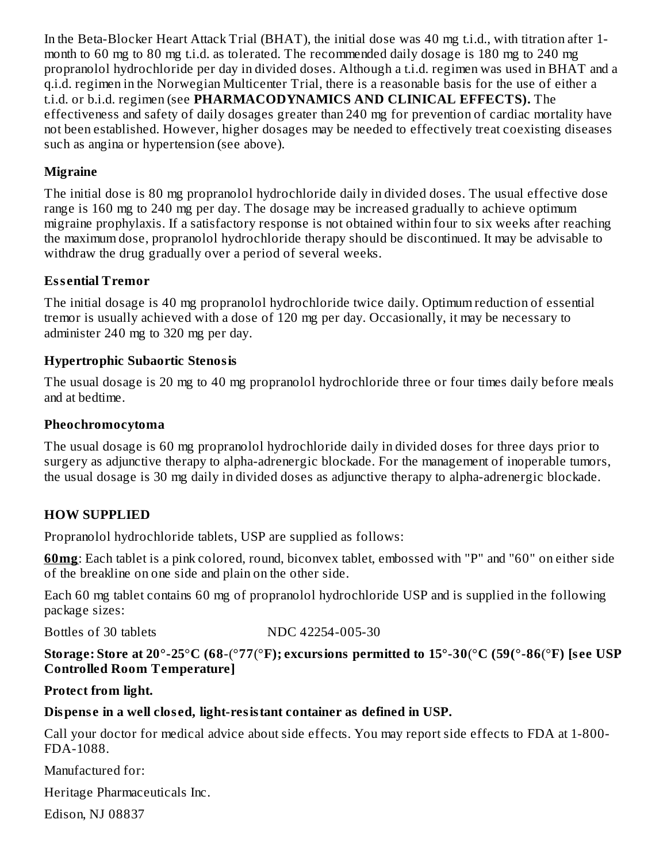In the Beta-Blocker Heart Attack Trial (BHAT), the initial dose was 40 mg t.i.d., with titration after 1 month to 60 mg to 80 mg t.i.d. as tolerated. The recommended daily dosage is 180 mg to 240 mg propranolol hydrochloride per day in divided doses. Although a t.i.d. regimen was used in BHAT and a q.i.d. regimen in the Norwegian Multicenter Trial, there is a reasonable basis for the use of either a t.i.d. or b.i.d. regimen (see **PHARMACODYNAMICS AND CLINICAL EFFECTS).** The effectiveness and safety of daily dosages greater than 240 mg for prevention of cardiac mortality have not been established. However, higher dosages may be needed to effectively treat coexisting diseases such as angina or hypertension (see above).

## **Migraine**

The initial dose is 80 mg propranolol hydrochloride daily in divided doses. The usual effective dose range is 160 mg to 240 mg per day. The dosage may be increased gradually to achieve optimum migraine prophylaxis. If a satisfactory response is not obtained within four to six weeks after reaching the maximum dose, propranolol hydrochloride therapy should be discontinued. It may be advisable to withdraw the drug gradually over a period of several weeks.

## **Ess ential Tremor**

The initial dosage is 40 mg propranolol hydrochloride twice daily. Optimum reduction of essential tremor is usually achieved with a dose of 120 mg per day. Occasionally, it may be necessary to administer 240 mg to 320 mg per day.

## **Hypertrophic Subaortic Stenosis**

The usual dosage is 20 mg to 40 mg propranolol hydrochloride three or four times daily before meals and at bedtime.

#### **Pheochromocytoma**

The usual dosage is 60 mg propranolol hydrochloride daily in divided doses for three days prior to surgery as adjunctive therapy to alpha-adrenergic blockade. For the management of inoperable tumors, the usual dosage is 30 mg daily in divided doses as adjunctive therapy to alpha-adrenergic blockade.

## **HOW SUPPLIED**

Propranolol hydrochloride tablets, USP are supplied as follows:

**60mg**: Each tablet is a pink colored, round, biconvex tablet, embossed with "P" and "60" on either side of the breakline on one side and plain on the other side.

Each 60 mg tablet contains 60 mg of propranolol hydrochloride USP and is supplied in the following package sizes:

Bottles of 30 tablets NDC 42254-005-30

**Storage: Store at 20°-25**°**C (68**-(°**77**(°**F); excursions permitted to 15°-30**(°**C (59(°-86**(°**F) [s ee USP Controlled Room Temperature]**

#### **Protect from light.**

## **Dispens e in a well clos ed, light-resistant container as defined in USP.**

Call your doctor for medical advice about side effects. You may report side effects to FDA at 1-800- FDA-1088.

Manufactured for:

Heritage Pharmaceuticals Inc.

Edison, NJ 08837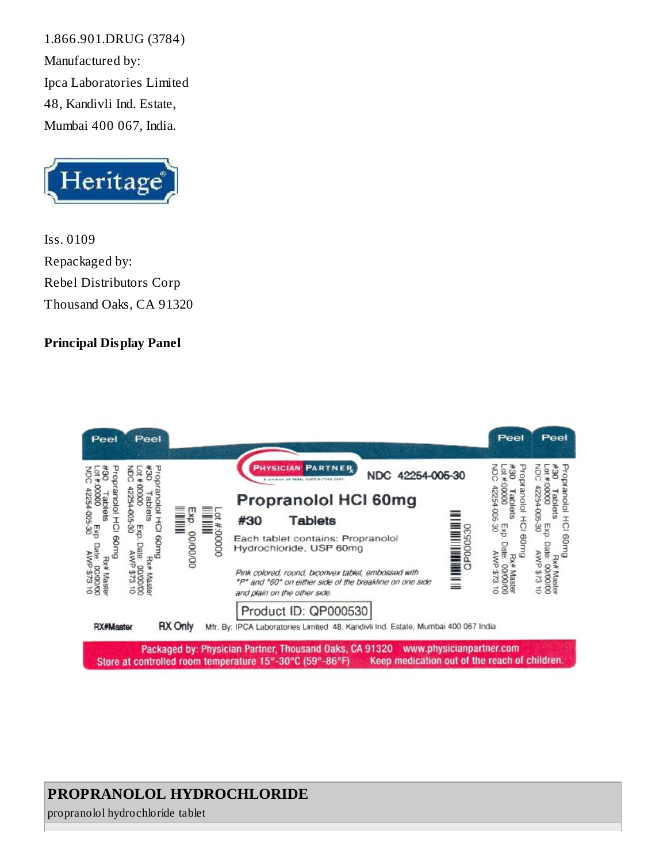1.866.901.DRUG (3784) Manufactured by: Ipca Laboratories Limited 48, Kandivli Ind. Estate, Mumbai 400 067, India.



Iss. 0109 Repackaged by: Rebel Distributors Corp Thousand Oaks, CA 91320

## **Principal Display Panel**



Packaged by: Physician Partner, Thousand Oaks, CA 91320 www.physicianpartner.com Keep medication out of the reach of children. Store at controlled room temperature 15°-30°C (59°-86°F)

# **PROPRANOLOL HYDROCHLORIDE**

propranolol hydrochloride tablet